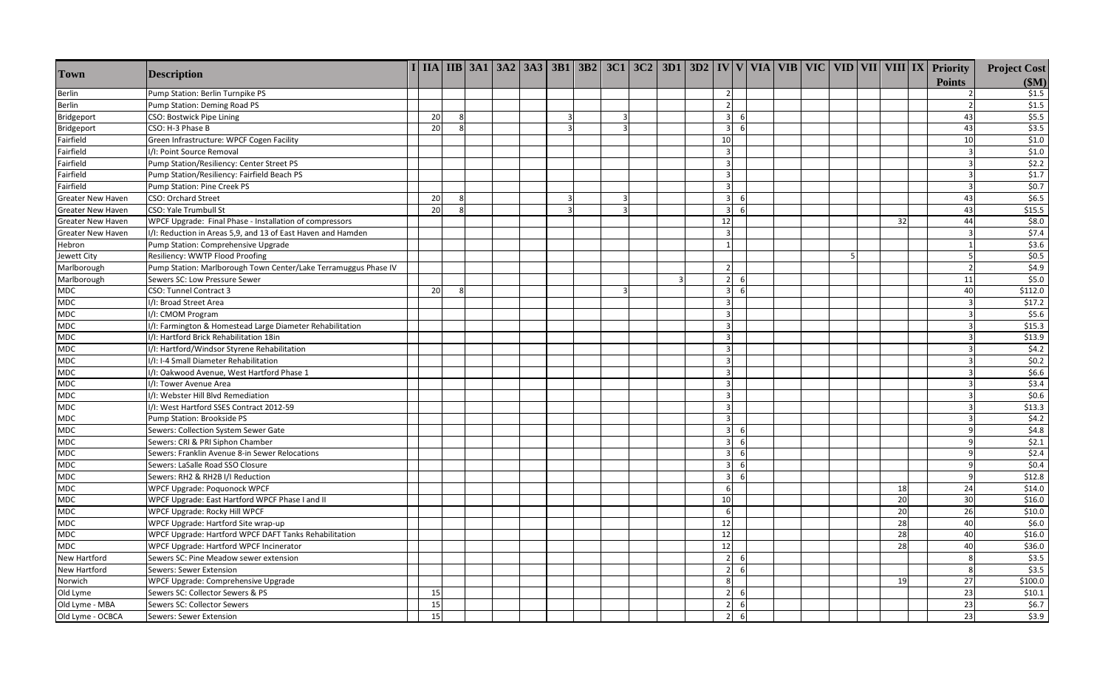| \$1.5<br>Pump Station: Berlin Turnpike PS<br>$2^{\circ}$<br>Berlin<br>$\mathcal{P}$<br>\$1.5<br>Berlin<br>Pump Station: Deming Road PS<br>$\overline{2}$<br>\$5.5<br>CSO: Bostwick Pipe Lining<br>20<br>$\overline{\mathbf{3}}$<br>43<br>Bridgeport<br>8<br>-6<br>3<br>\$3.5<br>20<br>6<br>43<br>Bridgeport<br>CSO: H-3 Phase B<br>8<br>$\overline{\mathbf{3}}$<br>3<br>\$1.0<br>Fairfield<br>Green Infrastructure: WPCF Cogen Facility<br>10<br>10<br>\$1.0<br>Fairfield<br>I/I: Point Source Removal<br>$\overline{3}$<br>\$2.2<br>Fairfield<br>Pump Station/Resiliency: Center Street PS<br>$\overline{3}$<br>\$1.7<br>Fairfield<br>Pump Station/Resiliency: Fairfield Beach PS<br>\$0.7<br>Fairfield<br>$\overline{3}$<br>Pump Station: Pine Creek PS<br>\$6.5<br><b>CSO: Orchard Street</b><br>20<br>$\overline{3}$<br>43<br><b>Greater New Haven</b><br>8<br>3<br>-6<br>20<br>\$15.5<br>43<br><b>Greater New Haven</b><br>CSO: Yale Trumbull St<br>8<br>$\overline{3}$<br>3<br>-6<br>\$8.0<br>WPCF Upgrade: Final Phase - Installation of compressors<br>12<br>32<br>44<br><b>Greater New Haven</b><br>\$7.4<br>I/I: Reduction in Areas 5,9, and 13 of East Haven and Hamden<br>$\overline{3}$<br>Greater New Haven<br>3<br>\$3.6<br>Hebron<br>Pump Station: Comprehensive Upgrade<br>\$0.5<br>Jewett City<br>Resiliency: WWTP Flood Proofing<br>5<br>\$4.9<br>Pump Station: Marlborough Town Center/Lake Terramuggus Phase IV<br>Marlborough<br>$\overline{2}$<br>\$5.0<br>Marlborough<br>Sewers SC: Low Pressure Sewer<br>$2^{\circ}$<br>11<br>$\mathbf{R}$<br>- 6<br>\$112.0<br><b>MDC</b><br>CSO: Tunnel Contract 3<br><b>20</b><br>40<br>$\mathbf{g}$<br>$\overline{3}$<br>-6<br>\$17.2<br><b>MDC</b><br>I/I: Broad Street Area<br>\$5.6<br><b>MDC</b><br>I/I: CMOM Program<br>$\mathbf{a}$<br>\$15.3<br><b>MDC</b><br>I/I: Farmington & Homestead Large Diameter Rehabilitation<br>\$13.9<br>I/I: Hartford Brick Rehabilitation 18in<br><b>MDC</b><br>$\overline{3}$<br>\$4.2<br><b>MDC</b><br>I/I: Hartford/Windsor Styrene Rehabilitation<br>$\overline{3}$<br>\$0.2<br><b>MDC</b><br>I/I: I-4 Small Diameter Rehabilitation<br>$\overline{3}$<br>\$6.6<br><b>MDC</b><br>I/I: Oakwood Avenue, West Hartford Phase 1<br>$\overline{3}$<br>\$3.4<br><b>MDC</b><br>$\overline{3}$<br>I/I: Tower Avenue Area<br>\$0.6<br>I/I: Webster Hill Blvd Remediation<br><b>MDC</b><br>$\overline{3}$<br>\$13.3<br>I/I: West Hartford SSES Contract 2012-59<br>MDC<br>$\overline{3}$<br>\$4.2<br><b>MDC</b><br>Pump Station: Brookside PS<br>$\overline{3}$<br>\$4.8<br>MDC<br>Sewers: Collection System Sewer Gate<br>$\overline{\mathbf{3}}$<br>- 6<br>\$2.1<br><b>MDC</b><br>Sewers: CRI & PRI Siphon Chamber<br>$\overline{3}$<br>-6<br>\$2.4<br><b>MDC</b><br>Sewers: Franklin Avenue 8-in Sewer Relocations<br>$\overline{3}$<br>-6<br>\$0.4<br><b>MDC</b><br>Sewers: LaSalle Road SSO Closure<br>6<br>\$12.8<br><b>MDC</b><br>Sewers: RH2 & RH2B I/I Reduction<br>6<br>\$14.0<br><b>MDC</b><br>WPCF Upgrade: Poquonock WPCF<br>24<br>6<br>18<br>20<br>\$16.0<br>10<br>30<br><b>MDC</b><br>WPCF Upgrade: East Hartford WPCF Phase I and II | <b>Town</b> | <b>Description</b>            |  |  |  |  |  |  |   |  |  |    | $\frac{1}{2}$ IIA IIB 3A1 3A2 3A3 3B1 3B2 3C1 3C2 3D1 3D2 IV V VIA VIB VIC VID VII VIII IX Priority<br><b>Points</b> | <b>Project Cost</b><br>\$M\$ |
|--------------------------------------------------------------------------------------------------------------------------------------------------------------------------------------------------------------------------------------------------------------------------------------------------------------------------------------------------------------------------------------------------------------------------------------------------------------------------------------------------------------------------------------------------------------------------------------------------------------------------------------------------------------------------------------------------------------------------------------------------------------------------------------------------------------------------------------------------------------------------------------------------------------------------------------------------------------------------------------------------------------------------------------------------------------------------------------------------------------------------------------------------------------------------------------------------------------------------------------------------------------------------------------------------------------------------------------------------------------------------------------------------------------------------------------------------------------------------------------------------------------------------------------------------------------------------------------------------------------------------------------------------------------------------------------------------------------------------------------------------------------------------------------------------------------------------------------------------------------------------------------------------------------------------------------------------------------------------------------------------------------------------------------------------------------------------------------------------------------------------------------------------------------------------------------------------------------------------------------------------------------------------------------------------------------------------------------------------------------------------------------------------------------------------------------------------------------------------------------------------------------------------------------------------------------------------------------------------------------------------------------------------------------------------------------------------------------------------------------------------------------------------------------------------------------------------------------------------------------------------------------------------------------------------------------------------------------------------------------------------------------------------------------------------------------------------------------------------------------------------------------------------|-------------|-------------------------------|--|--|--|--|--|--|---|--|--|----|----------------------------------------------------------------------------------------------------------------------|------------------------------|
|                                                                                                                                                                                                                                                                                                                                                                                                                                                                                                                                                                                                                                                                                                                                                                                                                                                                                                                                                                                                                                                                                                                                                                                                                                                                                                                                                                                                                                                                                                                                                                                                                                                                                                                                                                                                                                                                                                                                                                                                                                                                                                                                                                                                                                                                                                                                                                                                                                                                                                                                                                                                                                                                                                                                                                                                                                                                                                                                                                                                                                                                                                                                                  |             |                               |  |  |  |  |  |  |   |  |  |    |                                                                                                                      |                              |
|                                                                                                                                                                                                                                                                                                                                                                                                                                                                                                                                                                                                                                                                                                                                                                                                                                                                                                                                                                                                                                                                                                                                                                                                                                                                                                                                                                                                                                                                                                                                                                                                                                                                                                                                                                                                                                                                                                                                                                                                                                                                                                                                                                                                                                                                                                                                                                                                                                                                                                                                                                                                                                                                                                                                                                                                                                                                                                                                                                                                                                                                                                                                                  |             |                               |  |  |  |  |  |  |   |  |  |    |                                                                                                                      |                              |
|                                                                                                                                                                                                                                                                                                                                                                                                                                                                                                                                                                                                                                                                                                                                                                                                                                                                                                                                                                                                                                                                                                                                                                                                                                                                                                                                                                                                                                                                                                                                                                                                                                                                                                                                                                                                                                                                                                                                                                                                                                                                                                                                                                                                                                                                                                                                                                                                                                                                                                                                                                                                                                                                                                                                                                                                                                                                                                                                                                                                                                                                                                                                                  |             |                               |  |  |  |  |  |  |   |  |  |    |                                                                                                                      |                              |
|                                                                                                                                                                                                                                                                                                                                                                                                                                                                                                                                                                                                                                                                                                                                                                                                                                                                                                                                                                                                                                                                                                                                                                                                                                                                                                                                                                                                                                                                                                                                                                                                                                                                                                                                                                                                                                                                                                                                                                                                                                                                                                                                                                                                                                                                                                                                                                                                                                                                                                                                                                                                                                                                                                                                                                                                                                                                                                                                                                                                                                                                                                                                                  |             |                               |  |  |  |  |  |  |   |  |  |    |                                                                                                                      |                              |
|                                                                                                                                                                                                                                                                                                                                                                                                                                                                                                                                                                                                                                                                                                                                                                                                                                                                                                                                                                                                                                                                                                                                                                                                                                                                                                                                                                                                                                                                                                                                                                                                                                                                                                                                                                                                                                                                                                                                                                                                                                                                                                                                                                                                                                                                                                                                                                                                                                                                                                                                                                                                                                                                                                                                                                                                                                                                                                                                                                                                                                                                                                                                                  |             |                               |  |  |  |  |  |  |   |  |  |    |                                                                                                                      |                              |
|                                                                                                                                                                                                                                                                                                                                                                                                                                                                                                                                                                                                                                                                                                                                                                                                                                                                                                                                                                                                                                                                                                                                                                                                                                                                                                                                                                                                                                                                                                                                                                                                                                                                                                                                                                                                                                                                                                                                                                                                                                                                                                                                                                                                                                                                                                                                                                                                                                                                                                                                                                                                                                                                                                                                                                                                                                                                                                                                                                                                                                                                                                                                                  |             |                               |  |  |  |  |  |  |   |  |  |    |                                                                                                                      |                              |
|                                                                                                                                                                                                                                                                                                                                                                                                                                                                                                                                                                                                                                                                                                                                                                                                                                                                                                                                                                                                                                                                                                                                                                                                                                                                                                                                                                                                                                                                                                                                                                                                                                                                                                                                                                                                                                                                                                                                                                                                                                                                                                                                                                                                                                                                                                                                                                                                                                                                                                                                                                                                                                                                                                                                                                                                                                                                                                                                                                                                                                                                                                                                                  |             |                               |  |  |  |  |  |  |   |  |  |    |                                                                                                                      |                              |
|                                                                                                                                                                                                                                                                                                                                                                                                                                                                                                                                                                                                                                                                                                                                                                                                                                                                                                                                                                                                                                                                                                                                                                                                                                                                                                                                                                                                                                                                                                                                                                                                                                                                                                                                                                                                                                                                                                                                                                                                                                                                                                                                                                                                                                                                                                                                                                                                                                                                                                                                                                                                                                                                                                                                                                                                                                                                                                                                                                                                                                                                                                                                                  |             |                               |  |  |  |  |  |  |   |  |  |    |                                                                                                                      |                              |
|                                                                                                                                                                                                                                                                                                                                                                                                                                                                                                                                                                                                                                                                                                                                                                                                                                                                                                                                                                                                                                                                                                                                                                                                                                                                                                                                                                                                                                                                                                                                                                                                                                                                                                                                                                                                                                                                                                                                                                                                                                                                                                                                                                                                                                                                                                                                                                                                                                                                                                                                                                                                                                                                                                                                                                                                                                                                                                                                                                                                                                                                                                                                                  |             |                               |  |  |  |  |  |  |   |  |  |    |                                                                                                                      |                              |
|                                                                                                                                                                                                                                                                                                                                                                                                                                                                                                                                                                                                                                                                                                                                                                                                                                                                                                                                                                                                                                                                                                                                                                                                                                                                                                                                                                                                                                                                                                                                                                                                                                                                                                                                                                                                                                                                                                                                                                                                                                                                                                                                                                                                                                                                                                                                                                                                                                                                                                                                                                                                                                                                                                                                                                                                                                                                                                                                                                                                                                                                                                                                                  |             |                               |  |  |  |  |  |  |   |  |  |    |                                                                                                                      |                              |
|                                                                                                                                                                                                                                                                                                                                                                                                                                                                                                                                                                                                                                                                                                                                                                                                                                                                                                                                                                                                                                                                                                                                                                                                                                                                                                                                                                                                                                                                                                                                                                                                                                                                                                                                                                                                                                                                                                                                                                                                                                                                                                                                                                                                                                                                                                                                                                                                                                                                                                                                                                                                                                                                                                                                                                                                                                                                                                                                                                                                                                                                                                                                                  |             |                               |  |  |  |  |  |  |   |  |  |    |                                                                                                                      |                              |
|                                                                                                                                                                                                                                                                                                                                                                                                                                                                                                                                                                                                                                                                                                                                                                                                                                                                                                                                                                                                                                                                                                                                                                                                                                                                                                                                                                                                                                                                                                                                                                                                                                                                                                                                                                                                                                                                                                                                                                                                                                                                                                                                                                                                                                                                                                                                                                                                                                                                                                                                                                                                                                                                                                                                                                                                                                                                                                                                                                                                                                                                                                                                                  |             |                               |  |  |  |  |  |  |   |  |  |    |                                                                                                                      |                              |
|                                                                                                                                                                                                                                                                                                                                                                                                                                                                                                                                                                                                                                                                                                                                                                                                                                                                                                                                                                                                                                                                                                                                                                                                                                                                                                                                                                                                                                                                                                                                                                                                                                                                                                                                                                                                                                                                                                                                                                                                                                                                                                                                                                                                                                                                                                                                                                                                                                                                                                                                                                                                                                                                                                                                                                                                                                                                                                                                                                                                                                                                                                                                                  |             |                               |  |  |  |  |  |  |   |  |  |    |                                                                                                                      |                              |
|                                                                                                                                                                                                                                                                                                                                                                                                                                                                                                                                                                                                                                                                                                                                                                                                                                                                                                                                                                                                                                                                                                                                                                                                                                                                                                                                                                                                                                                                                                                                                                                                                                                                                                                                                                                                                                                                                                                                                                                                                                                                                                                                                                                                                                                                                                                                                                                                                                                                                                                                                                                                                                                                                                                                                                                                                                                                                                                                                                                                                                                                                                                                                  |             |                               |  |  |  |  |  |  |   |  |  |    |                                                                                                                      |                              |
|                                                                                                                                                                                                                                                                                                                                                                                                                                                                                                                                                                                                                                                                                                                                                                                                                                                                                                                                                                                                                                                                                                                                                                                                                                                                                                                                                                                                                                                                                                                                                                                                                                                                                                                                                                                                                                                                                                                                                                                                                                                                                                                                                                                                                                                                                                                                                                                                                                                                                                                                                                                                                                                                                                                                                                                                                                                                                                                                                                                                                                                                                                                                                  |             |                               |  |  |  |  |  |  |   |  |  |    |                                                                                                                      |                              |
|                                                                                                                                                                                                                                                                                                                                                                                                                                                                                                                                                                                                                                                                                                                                                                                                                                                                                                                                                                                                                                                                                                                                                                                                                                                                                                                                                                                                                                                                                                                                                                                                                                                                                                                                                                                                                                                                                                                                                                                                                                                                                                                                                                                                                                                                                                                                                                                                                                                                                                                                                                                                                                                                                                                                                                                                                                                                                                                                                                                                                                                                                                                                                  |             |                               |  |  |  |  |  |  |   |  |  |    |                                                                                                                      |                              |
|                                                                                                                                                                                                                                                                                                                                                                                                                                                                                                                                                                                                                                                                                                                                                                                                                                                                                                                                                                                                                                                                                                                                                                                                                                                                                                                                                                                                                                                                                                                                                                                                                                                                                                                                                                                                                                                                                                                                                                                                                                                                                                                                                                                                                                                                                                                                                                                                                                                                                                                                                                                                                                                                                                                                                                                                                                                                                                                                                                                                                                                                                                                                                  |             |                               |  |  |  |  |  |  |   |  |  |    |                                                                                                                      |                              |
|                                                                                                                                                                                                                                                                                                                                                                                                                                                                                                                                                                                                                                                                                                                                                                                                                                                                                                                                                                                                                                                                                                                                                                                                                                                                                                                                                                                                                                                                                                                                                                                                                                                                                                                                                                                                                                                                                                                                                                                                                                                                                                                                                                                                                                                                                                                                                                                                                                                                                                                                                                                                                                                                                                                                                                                                                                                                                                                                                                                                                                                                                                                                                  |             |                               |  |  |  |  |  |  |   |  |  |    |                                                                                                                      |                              |
|                                                                                                                                                                                                                                                                                                                                                                                                                                                                                                                                                                                                                                                                                                                                                                                                                                                                                                                                                                                                                                                                                                                                                                                                                                                                                                                                                                                                                                                                                                                                                                                                                                                                                                                                                                                                                                                                                                                                                                                                                                                                                                                                                                                                                                                                                                                                                                                                                                                                                                                                                                                                                                                                                                                                                                                                                                                                                                                                                                                                                                                                                                                                                  |             |                               |  |  |  |  |  |  |   |  |  |    |                                                                                                                      |                              |
|                                                                                                                                                                                                                                                                                                                                                                                                                                                                                                                                                                                                                                                                                                                                                                                                                                                                                                                                                                                                                                                                                                                                                                                                                                                                                                                                                                                                                                                                                                                                                                                                                                                                                                                                                                                                                                                                                                                                                                                                                                                                                                                                                                                                                                                                                                                                                                                                                                                                                                                                                                                                                                                                                                                                                                                                                                                                                                                                                                                                                                                                                                                                                  |             |                               |  |  |  |  |  |  |   |  |  |    |                                                                                                                      |                              |
|                                                                                                                                                                                                                                                                                                                                                                                                                                                                                                                                                                                                                                                                                                                                                                                                                                                                                                                                                                                                                                                                                                                                                                                                                                                                                                                                                                                                                                                                                                                                                                                                                                                                                                                                                                                                                                                                                                                                                                                                                                                                                                                                                                                                                                                                                                                                                                                                                                                                                                                                                                                                                                                                                                                                                                                                                                                                                                                                                                                                                                                                                                                                                  |             |                               |  |  |  |  |  |  |   |  |  |    |                                                                                                                      |                              |
|                                                                                                                                                                                                                                                                                                                                                                                                                                                                                                                                                                                                                                                                                                                                                                                                                                                                                                                                                                                                                                                                                                                                                                                                                                                                                                                                                                                                                                                                                                                                                                                                                                                                                                                                                                                                                                                                                                                                                                                                                                                                                                                                                                                                                                                                                                                                                                                                                                                                                                                                                                                                                                                                                                                                                                                                                                                                                                                                                                                                                                                                                                                                                  |             |                               |  |  |  |  |  |  |   |  |  |    |                                                                                                                      |                              |
|                                                                                                                                                                                                                                                                                                                                                                                                                                                                                                                                                                                                                                                                                                                                                                                                                                                                                                                                                                                                                                                                                                                                                                                                                                                                                                                                                                                                                                                                                                                                                                                                                                                                                                                                                                                                                                                                                                                                                                                                                                                                                                                                                                                                                                                                                                                                                                                                                                                                                                                                                                                                                                                                                                                                                                                                                                                                                                                                                                                                                                                                                                                                                  |             |                               |  |  |  |  |  |  |   |  |  |    |                                                                                                                      |                              |
|                                                                                                                                                                                                                                                                                                                                                                                                                                                                                                                                                                                                                                                                                                                                                                                                                                                                                                                                                                                                                                                                                                                                                                                                                                                                                                                                                                                                                                                                                                                                                                                                                                                                                                                                                                                                                                                                                                                                                                                                                                                                                                                                                                                                                                                                                                                                                                                                                                                                                                                                                                                                                                                                                                                                                                                                                                                                                                                                                                                                                                                                                                                                                  |             |                               |  |  |  |  |  |  |   |  |  |    |                                                                                                                      |                              |
|                                                                                                                                                                                                                                                                                                                                                                                                                                                                                                                                                                                                                                                                                                                                                                                                                                                                                                                                                                                                                                                                                                                                                                                                                                                                                                                                                                                                                                                                                                                                                                                                                                                                                                                                                                                                                                                                                                                                                                                                                                                                                                                                                                                                                                                                                                                                                                                                                                                                                                                                                                                                                                                                                                                                                                                                                                                                                                                                                                                                                                                                                                                                                  |             |                               |  |  |  |  |  |  |   |  |  |    |                                                                                                                      |                              |
|                                                                                                                                                                                                                                                                                                                                                                                                                                                                                                                                                                                                                                                                                                                                                                                                                                                                                                                                                                                                                                                                                                                                                                                                                                                                                                                                                                                                                                                                                                                                                                                                                                                                                                                                                                                                                                                                                                                                                                                                                                                                                                                                                                                                                                                                                                                                                                                                                                                                                                                                                                                                                                                                                                                                                                                                                                                                                                                                                                                                                                                                                                                                                  |             |                               |  |  |  |  |  |  |   |  |  |    |                                                                                                                      |                              |
|                                                                                                                                                                                                                                                                                                                                                                                                                                                                                                                                                                                                                                                                                                                                                                                                                                                                                                                                                                                                                                                                                                                                                                                                                                                                                                                                                                                                                                                                                                                                                                                                                                                                                                                                                                                                                                                                                                                                                                                                                                                                                                                                                                                                                                                                                                                                                                                                                                                                                                                                                                                                                                                                                                                                                                                                                                                                                                                                                                                                                                                                                                                                                  |             |                               |  |  |  |  |  |  |   |  |  |    |                                                                                                                      |                              |
|                                                                                                                                                                                                                                                                                                                                                                                                                                                                                                                                                                                                                                                                                                                                                                                                                                                                                                                                                                                                                                                                                                                                                                                                                                                                                                                                                                                                                                                                                                                                                                                                                                                                                                                                                                                                                                                                                                                                                                                                                                                                                                                                                                                                                                                                                                                                                                                                                                                                                                                                                                                                                                                                                                                                                                                                                                                                                                                                                                                                                                                                                                                                                  |             |                               |  |  |  |  |  |  |   |  |  |    |                                                                                                                      |                              |
|                                                                                                                                                                                                                                                                                                                                                                                                                                                                                                                                                                                                                                                                                                                                                                                                                                                                                                                                                                                                                                                                                                                                                                                                                                                                                                                                                                                                                                                                                                                                                                                                                                                                                                                                                                                                                                                                                                                                                                                                                                                                                                                                                                                                                                                                                                                                                                                                                                                                                                                                                                                                                                                                                                                                                                                                                                                                                                                                                                                                                                                                                                                                                  |             |                               |  |  |  |  |  |  |   |  |  |    |                                                                                                                      |                              |
|                                                                                                                                                                                                                                                                                                                                                                                                                                                                                                                                                                                                                                                                                                                                                                                                                                                                                                                                                                                                                                                                                                                                                                                                                                                                                                                                                                                                                                                                                                                                                                                                                                                                                                                                                                                                                                                                                                                                                                                                                                                                                                                                                                                                                                                                                                                                                                                                                                                                                                                                                                                                                                                                                                                                                                                                                                                                                                                                                                                                                                                                                                                                                  |             |                               |  |  |  |  |  |  |   |  |  |    |                                                                                                                      |                              |
|                                                                                                                                                                                                                                                                                                                                                                                                                                                                                                                                                                                                                                                                                                                                                                                                                                                                                                                                                                                                                                                                                                                                                                                                                                                                                                                                                                                                                                                                                                                                                                                                                                                                                                                                                                                                                                                                                                                                                                                                                                                                                                                                                                                                                                                                                                                                                                                                                                                                                                                                                                                                                                                                                                                                                                                                                                                                                                                                                                                                                                                                                                                                                  |             |                               |  |  |  |  |  |  |   |  |  |    |                                                                                                                      |                              |
|                                                                                                                                                                                                                                                                                                                                                                                                                                                                                                                                                                                                                                                                                                                                                                                                                                                                                                                                                                                                                                                                                                                                                                                                                                                                                                                                                                                                                                                                                                                                                                                                                                                                                                                                                                                                                                                                                                                                                                                                                                                                                                                                                                                                                                                                                                                                                                                                                                                                                                                                                                                                                                                                                                                                                                                                                                                                                                                                                                                                                                                                                                                                                  |             |                               |  |  |  |  |  |  |   |  |  |    |                                                                                                                      |                              |
|                                                                                                                                                                                                                                                                                                                                                                                                                                                                                                                                                                                                                                                                                                                                                                                                                                                                                                                                                                                                                                                                                                                                                                                                                                                                                                                                                                                                                                                                                                                                                                                                                                                                                                                                                                                                                                                                                                                                                                                                                                                                                                                                                                                                                                                                                                                                                                                                                                                                                                                                                                                                                                                                                                                                                                                                                                                                                                                                                                                                                                                                                                                                                  |             |                               |  |  |  |  |  |  |   |  |  |    |                                                                                                                      |                              |
|                                                                                                                                                                                                                                                                                                                                                                                                                                                                                                                                                                                                                                                                                                                                                                                                                                                                                                                                                                                                                                                                                                                                                                                                                                                                                                                                                                                                                                                                                                                                                                                                                                                                                                                                                                                                                                                                                                                                                                                                                                                                                                                                                                                                                                                                                                                                                                                                                                                                                                                                                                                                                                                                                                                                                                                                                                                                                                                                                                                                                                                                                                                                                  |             |                               |  |  |  |  |  |  |   |  |  |    |                                                                                                                      |                              |
|                                                                                                                                                                                                                                                                                                                                                                                                                                                                                                                                                                                                                                                                                                                                                                                                                                                                                                                                                                                                                                                                                                                                                                                                                                                                                                                                                                                                                                                                                                                                                                                                                                                                                                                                                                                                                                                                                                                                                                                                                                                                                                                                                                                                                                                                                                                                                                                                                                                                                                                                                                                                                                                                                                                                                                                                                                                                                                                                                                                                                                                                                                                                                  |             |                               |  |  |  |  |  |  |   |  |  |    |                                                                                                                      |                              |
|                                                                                                                                                                                                                                                                                                                                                                                                                                                                                                                                                                                                                                                                                                                                                                                                                                                                                                                                                                                                                                                                                                                                                                                                                                                                                                                                                                                                                                                                                                                                                                                                                                                                                                                                                                                                                                                                                                                                                                                                                                                                                                                                                                                                                                                                                                                                                                                                                                                                                                                                                                                                                                                                                                                                                                                                                                                                                                                                                                                                                                                                                                                                                  |             |                               |  |  |  |  |  |  |   |  |  |    |                                                                                                                      |                              |
|                                                                                                                                                                                                                                                                                                                                                                                                                                                                                                                                                                                                                                                                                                                                                                                                                                                                                                                                                                                                                                                                                                                                                                                                                                                                                                                                                                                                                                                                                                                                                                                                                                                                                                                                                                                                                                                                                                                                                                                                                                                                                                                                                                                                                                                                                                                                                                                                                                                                                                                                                                                                                                                                                                                                                                                                                                                                                                                                                                                                                                                                                                                                                  | <b>MDC</b>  | WPCF Upgrade: Rocky Hill WPCF |  |  |  |  |  |  | 6 |  |  | 20 | 26                                                                                                                   | \$10.0                       |
| 28<br>\$6.0<br><b>MDC</b><br>12<br>40<br>WPCF Upgrade: Hartford Site wrap-up                                                                                                                                                                                                                                                                                                                                                                                                                                                                                                                                                                                                                                                                                                                                                                                                                                                                                                                                                                                                                                                                                                                                                                                                                                                                                                                                                                                                                                                                                                                                                                                                                                                                                                                                                                                                                                                                                                                                                                                                                                                                                                                                                                                                                                                                                                                                                                                                                                                                                                                                                                                                                                                                                                                                                                                                                                                                                                                                                                                                                                                                     |             |                               |  |  |  |  |  |  |   |  |  |    |                                                                                                                      |                              |
| 12<br>28<br>\$16.0<br>WPCF Upgrade: Hartford WPCF DAFT Tanks Rehabilitation<br>40<br>MDC                                                                                                                                                                                                                                                                                                                                                                                                                                                                                                                                                                                                                                                                                                                                                                                                                                                                                                                                                                                                                                                                                                                                                                                                                                                                                                                                                                                                                                                                                                                                                                                                                                                                                                                                                                                                                                                                                                                                                                                                                                                                                                                                                                                                                                                                                                                                                                                                                                                                                                                                                                                                                                                                                                                                                                                                                                                                                                                                                                                                                                                         |             |                               |  |  |  |  |  |  |   |  |  |    |                                                                                                                      |                              |
| 12<br>28<br>\$36.0<br>40<br><b>MDC</b><br>WPCF Upgrade: Hartford WPCF Incinerator                                                                                                                                                                                                                                                                                                                                                                                                                                                                                                                                                                                                                                                                                                                                                                                                                                                                                                                                                                                                                                                                                                                                                                                                                                                                                                                                                                                                                                                                                                                                                                                                                                                                                                                                                                                                                                                                                                                                                                                                                                                                                                                                                                                                                                                                                                                                                                                                                                                                                                                                                                                                                                                                                                                                                                                                                                                                                                                                                                                                                                                                |             |                               |  |  |  |  |  |  |   |  |  |    |                                                                                                                      |                              |
| \$3.5<br>Sewers SC: Pine Meadow sewer extension<br>New Hartford<br>$\overline{2}$<br>8<br>-6                                                                                                                                                                                                                                                                                                                                                                                                                                                                                                                                                                                                                                                                                                                                                                                                                                                                                                                                                                                                                                                                                                                                                                                                                                                                                                                                                                                                                                                                                                                                                                                                                                                                                                                                                                                                                                                                                                                                                                                                                                                                                                                                                                                                                                                                                                                                                                                                                                                                                                                                                                                                                                                                                                                                                                                                                                                                                                                                                                                                                                                     |             |                               |  |  |  |  |  |  |   |  |  |    |                                                                                                                      |                              |
| \$3.5<br>6<br>New Hartford<br>Sewers: Sewer Extension<br>$2^{\circ}$<br>8                                                                                                                                                                                                                                                                                                                                                                                                                                                                                                                                                                                                                                                                                                                                                                                                                                                                                                                                                                                                                                                                                                                                                                                                                                                                                                                                                                                                                                                                                                                                                                                                                                                                                                                                                                                                                                                                                                                                                                                                                                                                                                                                                                                                                                                                                                                                                                                                                                                                                                                                                                                                                                                                                                                                                                                                                                                                                                                                                                                                                                                                        |             |                               |  |  |  |  |  |  |   |  |  |    |                                                                                                                      |                              |
| 27<br>\$100.0<br>Norwich<br>WPCF Upgrade: Comprehensive Upgrade<br>19<br>8                                                                                                                                                                                                                                                                                                                                                                                                                                                                                                                                                                                                                                                                                                                                                                                                                                                                                                                                                                                                                                                                                                                                                                                                                                                                                                                                                                                                                                                                                                                                                                                                                                                                                                                                                                                                                                                                                                                                                                                                                                                                                                                                                                                                                                                                                                                                                                                                                                                                                                                                                                                                                                                                                                                                                                                                                                                                                                                                                                                                                                                                       |             |                               |  |  |  |  |  |  |   |  |  |    |                                                                                                                      |                              |
| 23<br>\$10.1<br>Old Lyme<br>Sewers SC: Collector Sewers & PS<br>15<br>$2^{\circ}$<br>-6                                                                                                                                                                                                                                                                                                                                                                                                                                                                                                                                                                                                                                                                                                                                                                                                                                                                                                                                                                                                                                                                                                                                                                                                                                                                                                                                                                                                                                                                                                                                                                                                                                                                                                                                                                                                                                                                                                                                                                                                                                                                                                                                                                                                                                                                                                                                                                                                                                                                                                                                                                                                                                                                                                                                                                                                                                                                                                                                                                                                                                                          |             |                               |  |  |  |  |  |  |   |  |  |    |                                                                                                                      |                              |
| 15<br>23<br>\$6.7<br>Old Lyme - MBA<br>Sewers SC: Collector Sewers<br>2 <sup>1</sup><br>6                                                                                                                                                                                                                                                                                                                                                                                                                                                                                                                                                                                                                                                                                                                                                                                                                                                                                                                                                                                                                                                                                                                                                                                                                                                                                                                                                                                                                                                                                                                                                                                                                                                                                                                                                                                                                                                                                                                                                                                                                                                                                                                                                                                                                                                                                                                                                                                                                                                                                                                                                                                                                                                                                                                                                                                                                                                                                                                                                                                                                                                        |             |                               |  |  |  |  |  |  |   |  |  |    |                                                                                                                      |                              |
| 15<br>23<br>\$3.9<br>Old Lyme - OCBCA<br>6<br><b>Sewers: Sewer Extension</b>                                                                                                                                                                                                                                                                                                                                                                                                                                                                                                                                                                                                                                                                                                                                                                                                                                                                                                                                                                                                                                                                                                                                                                                                                                                                                                                                                                                                                                                                                                                                                                                                                                                                                                                                                                                                                                                                                                                                                                                                                                                                                                                                                                                                                                                                                                                                                                                                                                                                                                                                                                                                                                                                                                                                                                                                                                                                                                                                                                                                                                                                     |             |                               |  |  |  |  |  |  |   |  |  |    |                                                                                                                      |                              |